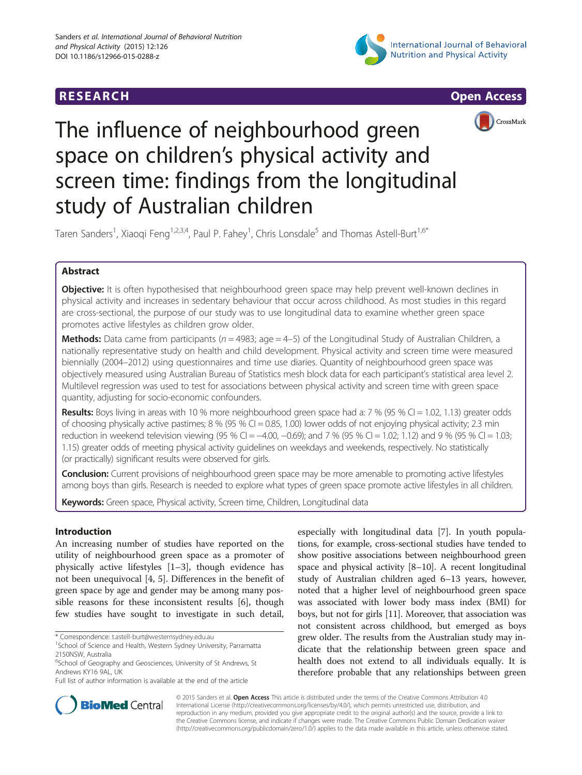





# The influence of neighbourhood green space on children's physical activity and screen time: findings from the longitudinal study of Australian children

Taren Sanders<sup>1</sup>, Xiaoqi Feng<sup>1,2,3,4</sup>, Paul P. Fahey<sup>1</sup>, Chris Lonsdale<sup>5</sup> and Thomas Astell-Burt<sup>1,6\*</sup>

# Abstract

**Objective:** It is often hypothesised that neighbourhood green space may help prevent well-known declines in physical activity and increases in sedentary behaviour that occur across childhood. As most studies in this regard are cross-sectional, the purpose of our study was to use longitudinal data to examine whether green space promotes active lifestyles as children grow older.

**Methods:** Data came from participants ( $n = 4983$ ; age = 4-5) of the Longitudinal Study of Australian Children, a nationally representative study on health and child development. Physical activity and screen time were measured biennially (2004–2012) using questionnaires and time use diaries. Quantity of neighbourhood green space was objectively measured using Australian Bureau of Statistics mesh block data for each participant's statistical area level 2. Multilevel regression was used to test for associations between physical activity and screen time with green space quantity, adjusting for socio-economic confounders.

Results: Boys living in areas with 10 % more neighbourhood green space had a: 7 % (95 % CI = 1.02, 1.13) greater odds of choosing physically active pastimes;  $8\%$  (95 % CI = 0.85, 1.00) lower odds of not enjoying physical activity; 2.3 min reduction in weekend television viewing (95 % CI = −4.00, −0.69); and 7 % (95 % CI = 1.02; 1.12) and 9 % (95 % CI = 1.03; 1.15) greater odds of meeting physical activity guidelines on weekdays and weekends, respectively. No statistically (or practically) significant results were observed for girls.

**Conclusion:** Current provisions of neighbourhood green space may be more amenable to promoting active lifestyles among boys than girls. Research is needed to explore what types of green space promote active lifestyles in all children.

Keywords: Green space, Physical activity, Screen time, Children, Longitudinal data

# Introduction

An increasing number of studies have reported on the utility of neighbourhood green space as a promoter of physically active lifestyles [\[1](#page-8-0)–[3](#page-8-0)], though evidence has not been unequivocal [[4](#page-8-0), [5\]](#page-8-0). Differences in the benefit of green space by age and gender may be among many possible reasons for these inconsistent results [[6](#page-8-0)], though few studies have sought to investigate in such detail,

\* Correspondence: [t.astell-burt@westernsydney.edu.au](mailto:t.astell-burt@westernsydney.edu.au) <sup>1</sup>

especially with longitudinal data [\[7](#page-8-0)]. In youth populations, for example, cross-sectional studies have tended to show positive associations between neighbourhood green space and physical activity [\[8](#page-8-0)–[10](#page-8-0)]. A recent longitudinal study of Australian children aged 6–13 years, however, noted that a higher level of neighbourhood green space was associated with lower body mass index (BMI) for boys, but not for girls [\[11](#page-8-0)]. Moreover, that association was not consistent across childhood, but emerged as boys grew older. The results from the Australian study may indicate that the relationship between green space and health does not extend to all individuals equally. It is therefore probable that any relationships between green



© 2015 Sanders et al. Open Access This article is distributed under the terms of the Creative Commons Attribution 4.0 International License [\(http://creativecommons.org/licenses/by/4.0/](http://creativecommons.org/licenses/by/4.0/)), which permits unrestricted use, distribution, and reproduction in any medium, provided you give appropriate credit to the original author(s) and the source, provide a link to the Creative Commons license, and indicate if changes were made. The Creative Commons Public Domain Dedication waiver [\(http://creativecommons.org/publicdomain/zero/1.0/](http://creativecommons.org/publicdomain/zero/1.0/)) applies to the data made available in this article, unless otherwise stated.

<sup>&</sup>lt;sup>1</sup> School of Science and Health, Western Sydney University, Parramatta 2150NSW, Australia

<sup>&</sup>lt;sup>6</sup>School of Geography and Geosciences, University of St Andrews, St Andrews KY16 9AL, UK

Full list of author information is available at the end of the article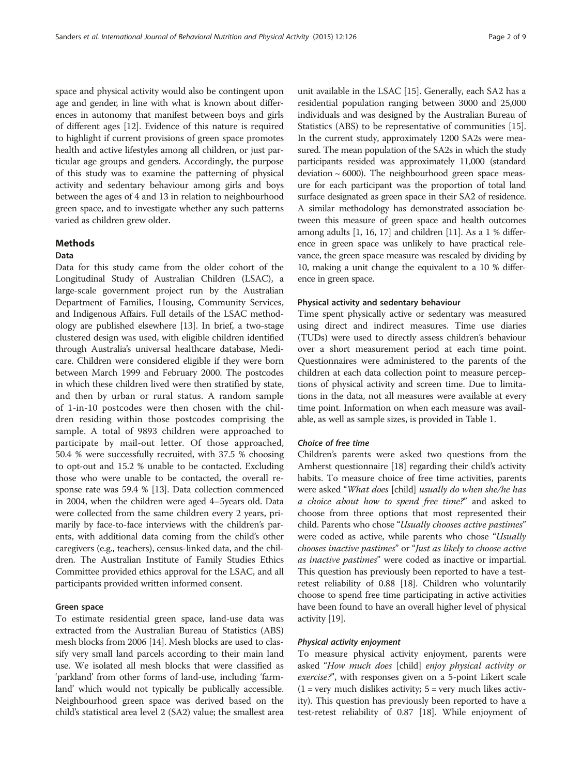space and physical activity would also be contingent upon age and gender, in line with what is known about differences in autonomy that manifest between boys and girls of different ages [[12](#page-8-0)]. Evidence of this nature is required to highlight if current provisions of green space promotes health and active lifestyles among all children, or just particular age groups and genders. Accordingly, the purpose of this study was to examine the patterning of physical activity and sedentary behaviour among girls and boys between the ages of 4 and 13 in relation to neighbourhood green space, and to investigate whether any such patterns varied as children grew older.

## Methods

#### Data

Data for this study came from the older cohort of the Longitudinal Study of Australian Children (LSAC), a large-scale government project run by the Australian Department of Families, Housing, Community Services, and Indigenous Affairs. Full details of the LSAC methodology are published elsewhere [[13](#page-8-0)]. In brief, a two-stage clustered design was used, with eligible children identified through Australia's universal healthcare database, Medicare. Children were considered eligible if they were born between March 1999 and February 2000. The postcodes in which these children lived were then stratified by state, and then by urban or rural status. A random sample of 1-in-10 postcodes were then chosen with the children residing within those postcodes comprising the sample. A total of 9893 children were approached to participate by mail-out letter. Of those approached, 50.4 % were successfully recruited, with 37.5 % choosing to opt-out and 15.2 % unable to be contacted. Excluding those who were unable to be contacted, the overall response rate was 59.4 % [\[13\]](#page-8-0). Data collection commenced in 2004, when the children were aged 4–5years old. Data were collected from the same children every 2 years, primarily by face-to-face interviews with the children's parents, with additional data coming from the child's other caregivers (e.g., teachers), census-linked data, and the children. The Australian Institute of Family Studies Ethics Committee provided ethics approval for the LSAC, and all participants provided written informed consent.

#### Green space

To estimate residential green space, land-use data was extracted from the Australian Bureau of Statistics (ABS) mesh blocks from 2006 [[14](#page-8-0)]. Mesh blocks are used to classify very small land parcels according to their main land use. We isolated all mesh blocks that were classified as 'parkland' from other forms of land-use, including 'farmland' which would not typically be publically accessible. Neighbourhood green space was derived based on the child's statistical area level 2 (SA2) value; the smallest area

unit available in the LSAC [[15](#page-8-0)]. Generally, each SA2 has a residential population ranging between 3000 and 25,000 individuals and was designed by the Australian Bureau of Statistics (ABS) to be representative of communities [[15](#page-8-0)]. In the current study, approximately 1200 SA2s were measured. The mean population of the SA2s in which the study participants resided was approximately 11,000 (standard deviation  $\sim$  6000). The neighbourhood green space measure for each participant was the proportion of total land surface designated as green space in their SA2 of residence. A similar methodology has demonstrated association between this measure of green space and health outcomes among adults [\[1, 16](#page-8-0), [17\]](#page-8-0) and children [\[11\]](#page-8-0). As a 1 % difference in green space was unlikely to have practical relevance, the green space measure was rescaled by dividing by 10, making a unit change the equivalent to a 10 % difference in green space.

#### Physical activity and sedentary behaviour

Time spent physically active or sedentary was measured using direct and indirect measures. Time use diaries (TUDs) were used to directly assess children's behaviour over a short measurement period at each time point. Questionnaires were administered to the parents of the children at each data collection point to measure perceptions of physical activity and screen time. Due to limitations in the data, not all measures were available at every time point. Information on when each measure was available, as well as sample sizes, is provided in Table [1.](#page-2-0)

#### Choice of free time

Children's parents were asked two questions from the Amherst questionnaire [\[18](#page-8-0)] regarding their child's activity habits. To measure choice of free time activities, parents were asked "What does [child] usually do when she/he has a choice about how to spend free time?" and asked to choose from three options that most represented their child. Parents who chose "Usually chooses active pastimes" were coded as active, while parents who chose "Usually chooses inactive pastimes" or "Just as likely to choose active as inactive pastimes" were coded as inactive or impartial. This question has previously been reported to have a testretest reliability of 0.88 [[18](#page-8-0)]. Children who voluntarily choose to spend free time participating in active activities have been found to have an overall higher level of physical activity [[19](#page-8-0)].

#### Physical activity enjoyment

To measure physical activity enjoyment, parents were asked "How much does [child] enjoy physical activity or exercise?", with responses given on a 5-point Likert scale  $(1 = \text{very much dislikes activity}; 5 = \text{very much likes activity}$ ity). This question has previously been reported to have a test-retest reliability of 0.87 [\[18\]](#page-8-0). While enjoyment of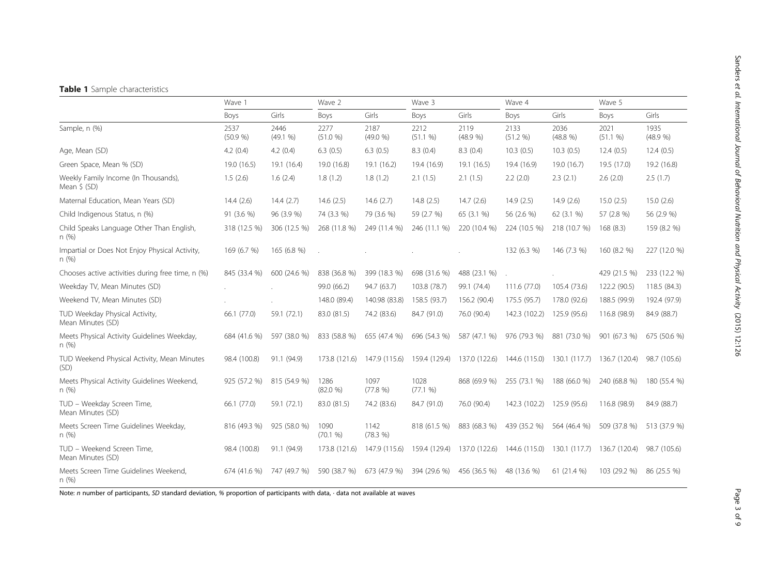# <span id="page-2-0"></span>Table 1 Sample characteristics

|                                                        | Wave 1           |                  | Wave 2           |                  | Wave 3           |                | Wave 4           |                  | Wave 5                     |                  |
|--------------------------------------------------------|------------------|------------------|------------------|------------------|------------------|----------------|------------------|------------------|----------------------------|------------------|
|                                                        | Boys             | Girls            | Boys             | Girls            | Boys             | Girls          | Boys             | Girls            | Boys                       | Girls            |
| Sample, n (%)                                          | 2537<br>(50.9 %) | 2446<br>(49.1 %) | 2277<br>(51.0 %) | 2187<br>(49.0 %) | 2212<br>(51.1 %) | 2119<br>(48.9% | 2133<br>(51.2 %) | 2036<br>(48.8 %) | 2021<br>(51.1 %)           | 1935<br>(48.9 %) |
| Age, Mean (SD)                                         | 4.2(0.4)         | 4.2(0.4)         | 6.3(0.5)         | 6.3(0.5)         | 8.3(0.4)         | 8.3(0.4)       | 10.3(0.5)        | 10.3(0.5)        | 12.4(0.5)                  | 12.4(0.5)        |
| Green Space, Mean % (SD)                               | 19.0 (16.5)      | 19.1 (16.4)      | 19.0 (16.8)      | 19.1 (16.2)      | 19.4 (16.9)      | 19.1(16.5)     | 19.4 (16.9)      | 19.0 (16.7)      | 19.5 (17.0)                | 19.2 (16.8)      |
| Weekly Family Income (In Thousands),<br>Mean \$ (SD)   | 1.5(2.6)         | 1.6(2.4)         | 1.8(1.2)         | 1.8(1.2)         | 2.1(1.5)         | 2.1(1.5)       | 2.2(2.0)         | 2.3(2.1)         | 2.6(2.0)                   | 2.5(1.7)         |
| Maternal Education, Mean Years (SD)                    | 14.4(2.6)        | 14.4(2.7)        | 14.6(2.5)        | 14.6(2.7)        | 14.8(2.5)        | 14.7(2.6)      | 14.9(2.5)        | 14.9(2.6)        | 15.0(2.5)                  | 15.0(2.6)        |
| Child Indigenous Status, n (%)                         | 91 (3.6 %)       | 96 (3.9 %)       | 74 (3.3 %)       | 79 (3.6 %)       | 59 (2.7 %)       | 65 (3.1 %)     | 56 (2.6 %)       | 62 (3.1 %)       | 57 (2.8 %)                 | 56 (2.9 %)       |
| Child Speaks Language Other Than English,<br>n (%)     | 318 (12.5 %)     | 306 (12.5 %)     | 268 (11.8 %)     | 249 (11.4 %)     | 246 (11.1 %)     | 220 (10.4 %)   | 224 (10.5 %)     | 218 (10.7 %)     | 168(8.3)                   | 159 (8.2 %)      |
| Impartial or Does Not Enjoy Physical Activity,<br>n(%) | 169 (6.7 %)      | 165 (6.8 %)      |                  |                  |                  |                | 132 (6.3 %)      | 146 (7.3 %)      | 160 (8.2 %)                | 227 (12.0 %)     |
| Chooses active activities during free time, n (%)      | 845 (33.4 %)     | 600 (24.6 %)     | 838 (36.8 %)     | 399 (18.3 %)     | 698 (31.6 %)     | 488 (23.1 %)   |                  |                  | 429 (21.5 %)               | 233 (12.2 %)     |
| Weekday TV, Mean Minutes (SD)                          |                  |                  | 99.0 (66.2)      | 94.7 (63.7)      | 103.8 (78.7)     | 99.1 (74.4)    | 111.6 (77.0)     | 105.4 (73.6)     | 122.2 (90.5)               | 118.5 (84.3)     |
| Weekend TV, Mean Minutes (SD)                          |                  |                  | 148.0 (89.4)     | 140.98 (83.8)    | 158.5 (93.7)     | 156.2 (90.4)   | 175.5 (95.7)     | 178.0 (92.6)     | 188.5 (99.9)               | 192.4 (97.9)     |
| TUD Weekday Physical Activity,<br>Mean Minutes (SD)    | 66.1 (77.0)      | 59.1 (72.1)      | 83.0 (81.5)      | 74.2 (83.6)      | 84.7 (91.0)      | 76.0 (90.4)    | 142.3 (102.2)    | 125.9 (95.6)     | 116.8 (98.9)               | 84.9 (88.7)      |
| Meets Physical Activity Guidelines Weekday,<br>n (%)   | 684 (41.6 %)     | 597 (38.0 %)     | 833 (58.8 %)     | 655 (47.4 %)     | 696 (54.3 %)     | 587 (47.1 %)   | 976 (79.3 %)     | 881 (73.0 %)     | 901 (67.3 %)               | 675 (50.6 %)     |
| TUD Weekend Physical Activity, Mean Minutes<br>(SD)    | 98.4 (100.8)     | 91.1 (94.9)      | 173.8 (121.6)    | 147.9 (115.6)    | 159.4 (129.4)    | 137.0 (122.6)  | 144.6 (115.0)    | 130.1 (117.7)    | 136.7 (120.4)              | 98.7 (105.6)     |
| Meets Physical Activity Guidelines Weekend,<br>n(%)    | 925 (57.2 %)     | 815 (54.9 %)     | 1286<br>(82.0 %) | 1097<br>(77.8 %) | 1028<br>(77.1 %) | 868 (69.9 %)   | 255 (73.1 %)     | 188 (66.0 %)     | 240 (68.8 %)               | 180 (55.4 %)     |
| TUD - Weekday Screen Time,<br>Mean Minutes (SD)        | 66.1 (77.0)      | 59.1 (72.1)      | 83.0 (81.5)      | 74.2 (83.6)      | 84.7 (91.0)      | 76.0 (90.4)    | 142.3 (102.2)    | 125.9 (95.6)     | 116.8 (98.9)               | 84.9 (88.7)      |
| Meets Screen Time Guidelines Weekday,<br>n(%)          | 816 (49.3 %)     | 925 (58.0 %)     | 1090<br>(70.1 %) | 1142<br>(78.3 %) | 818 (61.5 %)     | 883 (68.3 %)   | 439 (35.2 %)     | 564 (46.4 %)     | 509 (37.8 %)               | 513 (37.9 %)     |
| TUD - Weekend Screen Time,<br>Mean Minutes (SD)        | 98.4 (100.8)     | 91.1 (94.9)      | 173.8 (121.6)    | 147.9 (115.6)    | 159.4 (129.4)    | 137.0 (122.6)  | 144.6 (115.0)    | 130.1 (117.7)    | 136.7 (120.4) 98.7 (105.6) |                  |
| Meets Screen Time Guidelines Weekend,<br>n (%)         | 674 (41.6 %)     | 747 (49.7 %)     | 590 (38.7 %)     | 673 (47.9 %)     | 394 (29.6 %)     | 456 (36.5 %)   | 48 (13.6 %)      | 61 (21.4 %)      | 103 (29.2 %)               | 86 (25.5 %)      |

Note: n number of participants, SD standard deviation, % proportion of participants with data, · data not available at waves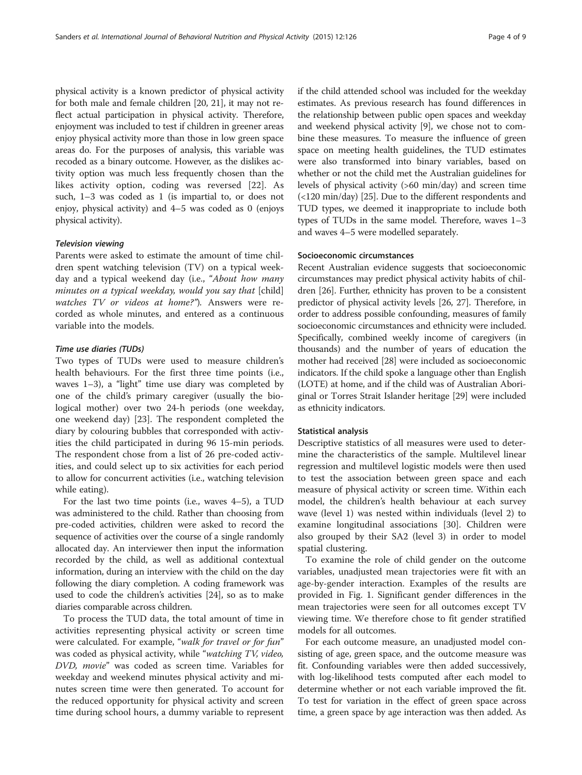physical activity is a known predictor of physical activity for both male and female children [\[20, 21\]](#page-8-0), it may not reflect actual participation in physical activity. Therefore, enjoyment was included to test if children in greener areas enjoy physical activity more than those in low green space areas do. For the purposes of analysis, this variable was recoded as a binary outcome. However, as the dislikes activity option was much less frequently chosen than the likes activity option, coding was reversed [\[22](#page-8-0)]. As such, 1–3 was coded as 1 (is impartial to, or does not enjoy, physical activity) and 4–5 was coded as 0 (enjoys physical activity).

#### Television viewing

Parents were asked to estimate the amount of time children spent watching television (TV) on a typical weekday and a typical weekend day (i.e., "About how many minutes on a typical weekday, would you say that [child] watches TV or videos at home?"). Answers were recorded as whole minutes, and entered as a continuous variable into the models.

#### Time use diaries (TUDs)

Two types of TUDs were used to measure children's health behaviours. For the first three time points (i.e., waves 1–3), a "light" time use diary was completed by one of the child's primary caregiver (usually the biological mother) over two 24-h periods (one weekday, one weekend day) [[23](#page-8-0)]. The respondent completed the diary by colouring bubbles that corresponded with activities the child participated in during 96 15-min periods. The respondent chose from a list of 26 pre-coded activities, and could select up to six activities for each period to allow for concurrent activities (i.e., watching television while eating).

For the last two time points (i.e., waves 4–5), a TUD was administered to the child. Rather than choosing from pre-coded activities, children were asked to record the sequence of activities over the course of a single randomly allocated day. An interviewer then input the information recorded by the child, as well as additional contextual information, during an interview with the child on the day following the diary completion. A coding framework was used to code the children's activities [[24](#page-8-0)], so as to make diaries comparable across children.

To process the TUD data, the total amount of time in activities representing physical activity or screen time were calculated. For example, "walk for travel or for fun" was coded as physical activity, while "watching TV, video, DVD, movie" was coded as screen time. Variables for weekday and weekend minutes physical activity and minutes screen time were then generated. To account for the reduced opportunity for physical activity and screen time during school hours, a dummy variable to represent if the child attended school was included for the weekday estimates. As previous research has found differences in the relationship between public open spaces and weekday and weekend physical activity [\[9](#page-8-0)], we chose not to combine these measures. To measure the influence of green space on meeting health guidelines, the TUD estimates were also transformed into binary variables, based on whether or not the child met the Australian guidelines for levels of physical activity (>60 min/day) and screen time (<120 min/day) [\[25\]](#page-8-0). Due to the different respondents and TUD types, we deemed it inappropriate to include both types of TUDs in the same model. Therefore, waves 1–3 and waves 4–5 were modelled separately.

#### Socioeconomic circumstances

Recent Australian evidence suggests that socioeconomic circumstances may predict physical activity habits of children [\[26\]](#page-8-0). Further, ethnicity has proven to be a consistent predictor of physical activity levels [\[26, 27\]](#page-8-0). Therefore, in order to address possible confounding, measures of family socioeconomic circumstances and ethnicity were included. Specifically, combined weekly income of caregivers (in thousands) and the number of years of education the mother had received [\[28\]](#page-8-0) were included as socioeconomic indicators. If the child spoke a language other than English (LOTE) at home, and if the child was of Australian Aboriginal or Torres Strait Islander heritage [\[29\]](#page-8-0) were included as ethnicity indicators.

#### Statistical analysis

Descriptive statistics of all measures were used to determine the characteristics of the sample. Multilevel linear regression and multilevel logistic models were then used to test the association between green space and each measure of physical activity or screen time. Within each model, the children's health behaviour at each survey wave (level 1) was nested within individuals (level 2) to examine longitudinal associations [[30\]](#page-8-0). Children were also grouped by their SA2 (level 3) in order to model spatial clustering.

To examine the role of child gender on the outcome variables, unadjusted mean trajectories were fit with an age-by-gender interaction. Examples of the results are provided in Fig. [1](#page-4-0). Significant gender differences in the mean trajectories were seen for all outcomes except TV viewing time. We therefore chose to fit gender stratified models for all outcomes.

For each outcome measure, an unadjusted model consisting of age, green space, and the outcome measure was fit. Confounding variables were then added successively, with log-likelihood tests computed after each model to determine whether or not each variable improved the fit. To test for variation in the effect of green space across time, a green space by age interaction was then added. As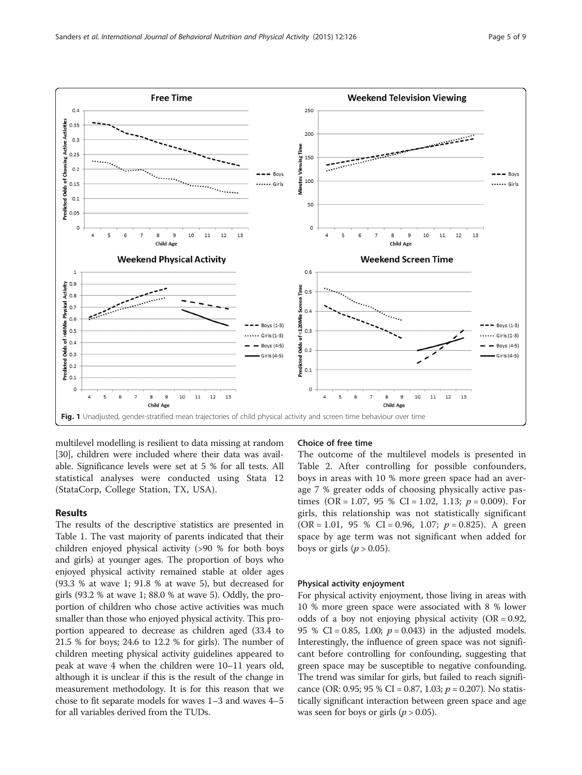<span id="page-4-0"></span>

multilevel modelling is resilient to data missing at random [[30](#page-8-0)], children were included where their data was available. Significance levels were set at 5 % for all tests. All statistical analyses were conducted using Stata 12 (StataCorp, College Station, TX, USA).

#### Results

The results of the descriptive statistics are presented in Table [1.](#page-2-0) The vast majority of parents indicated that their children enjoyed physical activity (>90 % for both boys and girls) at younger ages. The proportion of boys who enjoyed physical activity remained stable at older ages (93.3 % at wave 1; 91.8 % at wave 5), but decreased for girls (93.2 % at wave 1; 88.0 % at wave 5). Oddly, the proportion of children who chose active activities was much smaller than those who enjoyed physical activity. This proportion appeared to decrease as children aged (33.4 to 21.5 % for boys; 24.6 to 12.2 % for girls). The number of children meeting physical activity guidelines appeared to peak at wave 4 when the children were 10–11 years old, although it is unclear if this is the result of the change in measurement methodology. It is for this reason that we chose to fit separate models for waves 1–3 and waves 4–5 for all variables derived from the TUDs.

#### Choice of free time

The outcome of the multilevel models is presented in Table [2](#page-5-0). After controlling for possible confounders, boys in areas with 10 % more green space had an average 7 % greater odds of choosing physically active pastimes (OR = 1.07, 95 % CI = 1.02, 1.13;  $p = 0.009$ ). For girls, this relationship was not statistically significant  $(OR = 1.01, 95 % CI = 0.96, 1.07; p = 0.825)$ . A green space by age term was not significant when added for boys or girls ( $p > 0.05$ ).

#### Physical activity enjoyment

For physical activity enjoyment, those living in areas with 10 % more green space were associated with 8 % lower odds of a boy not enjoying physical activity  $(OR = 0.92,$ 95 % CI = 0.85, 1.00;  $p = 0.043$ ) in the adjusted models. Interestingly, the influence of green space was not significant before controlling for confounding, suggesting that green space may be susceptible to negative confounding. The trend was similar for girls, but failed to reach significance (OR: 0.95; 95 % CI = 0.87, 1.03;  $p = 0.207$ ). No statistically significant interaction between green space and age was seen for boys or girls ( $p > 0.05$ ).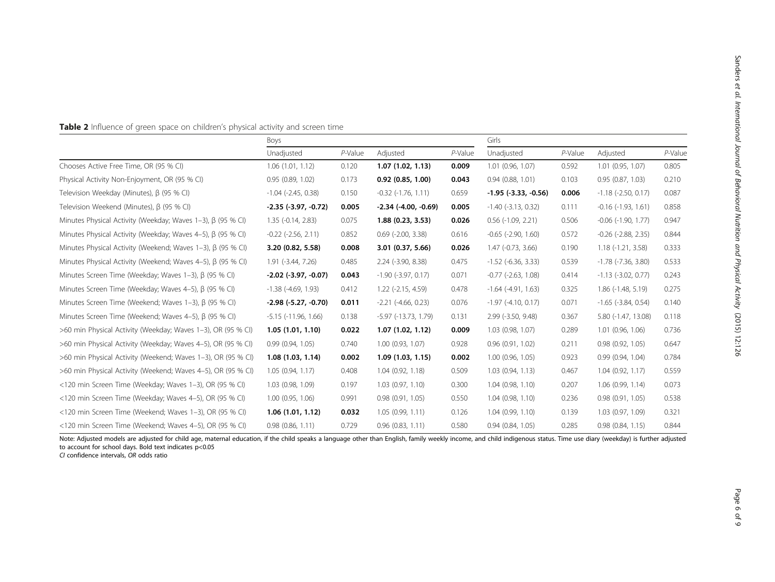<span id="page-5-0"></span>

| Table 2 Influence of green space on children's physical activity and screen time |  |  |  |
|----------------------------------------------------------------------------------|--|--|--|
|----------------------------------------------------------------------------------|--|--|--|

|                                                                   | <b>Boys</b>                   |         |                               |         | Girls                         |         |                              |         |
|-------------------------------------------------------------------|-------------------------------|---------|-------------------------------|---------|-------------------------------|---------|------------------------------|---------|
|                                                                   | Unadjusted                    | P-Value | Adjusted                      | P-Value | Unadjusted                    | P-Value | Adjusted                     | P-Value |
| Chooses Active Free Time, OR (95 % CI)                            | 1.06(1.01, 1.12)              | 0.120   | 1.07(1.02, 1.13)              | 0.009   | $1.01$ (0.96, 1.07)           | 0.592   | 1.01 (0.95, 1.07)            | 0.805   |
| Physical Activity Non-Enjoyment, OR (95 % CI)                     | 0.95(0.89, 1.02)              | 0.173   | 0.92(0.85, 1.00)              | 0.043   | 0.94(0.88, 1.01)              | 0.103   | 0.95(0.87, 1.03)             | 0.210   |
| Television Weekday (Minutes), β (95 % CI)                         | $-1.04$ $(-2.45, 0.38)$       | 0.150   | $-0.32$ $(-1.76, 1.11)$       | 0.659   | $-1.95$ ( $-3.33$ , $-0.56$ ) | 0.006   | $-1.18$ ( $-2.50$ , 0.17)    | 0.087   |
| Television Weekend (Minutes), $\beta$ (95 % CI)                   | $-2.35$ $(-3.97, -0.72)$      | 0.005   | $-2.34$ ( $-4.00$ , $-0.69$ ) | 0.005   | $-1.40$ $(-3.13, 0.32)$       | 0.111   | $-0.16$ $(-1.93, 1.61)$      | 0.858   |
| Minutes Physical Activity (Weekday; Waves 1–3), $\beta$ (95 % CI) | $1.35$ (-0.14, 2.83)          | 0.075   | 1.88(0.23, 3.53)              | 0.026   | $0.56$ ( $-1.09$ , $2.21$ )   | 0.506   | $-0.06$ $(-1.90, 1.77)$      | 0.947   |
| Minutes Physical Activity (Weekday; Waves 4-5), β (95 % CI)       | $-0.22$ $(-2.56, 2.11)$       | 0.852   | $0.69$ ( $-2.00$ , $3.38$ )   | 0.616   | $-0.65$ $(-2.90, 1.60)$       | 0.572   | $-0.26$ $(-2.88, 2.35)$      | 0.844   |
| Minutes Physical Activity (Weekend; Waves 1–3), $\beta$ (95 % CI) | 3.20 (0.82, 5.58)             | 0.008   | 3.01 (0.37, 5.66)             | 0.026   | $1.47$ (-0.73, 3.66)          | 0.190   | $1.18(-1.21, 3.58)$          | 0.333   |
| Minutes Physical Activity (Weekend; Waves 4–5), β (95 % CI)       | $1.91$ ( $-3.44$ , $7.26$ )   | 0.485   | 2.24 (-3.90, 8.38)            | 0.475   | $-1.52$ ( $-6.36$ , 3.33)     | 0.539   | $-1.78$ ( $-7.36$ , $3.80$ ) | 0.533   |
| Minutes Screen Time (Weekday; Waves 1-3), β (95 % CI)             | $-2.02$ ( $-3.97$ , $-0.07$ ) | 0.043   | $-1.90$ $(-3.97, 0.17)$       | 0.071   | $-0.77$ $(-2.63, 1.08)$       | 0.414   | $-1.13$ $(-3.02, 0.77)$      | 0.243   |
| Minutes Screen Time (Weekday; Waves 4-5), β (95 % CI)             | $-1.38$ ( $-4.69$ , $1.93$ )  | 0.412   | $1.22$ (-2.15, 4.59)          | 0.478   | $-1.64$ $(-4.91, 1.63)$       | 0.325   | $1.86$ ( $-1.48$ , $5.19$ )  | 0.275   |
| Minutes Screen Time (Weekend; Waves 1-3), β (95 % CI)             | $-2.98$ $(-5.27, -0.70)$      | 0.011   | $-2.21$ $(-4.66, 0.23)$       | 0.076   | $-1.97$ $(-4.10, 0.17)$       | 0.071   | $-1.65$ $(-3.84, 0.54)$      | 0.140   |
| Minutes Screen Time (Weekend; Waves 4-5), β (95 % CI)             | $-5.15$ $(-11.96, 1.66)$      | 0.138   | $-5.97$ $(-13.73, 1.79)$      | 0.131   | 2.99 (-3.50, 9.48)            | 0.367   | 5.80 (-1.47, 13.08)          | 0.118   |
| >60 min Physical Activity (Weekday; Waves 1-3), OR (95 % CI)      | 1.05(1.01, 1.10)              | 0.022   | 1.07(1.02, 1.12)              | 0.009   | 1.03 (0.98, 1.07)             | 0.289   | 1.01 (0.96, 1.06)            | 0.736   |
| >60 min Physical Activity (Weekday; Waves 4-5), OR (95 % CI)      | 0.99(0.94, 1.05)              | 0.740   | 1.00(0.93, 1.07)              | 0.928   | 0.96(0.91, 1.02)              | 0.211   | 0.98(0.92, 1.05)             | 0.647   |
| >60 min Physical Activity (Weekend; Waves 1-3), OR (95 % CI)      | 1.08(1.03, 1.14)              | 0.002   | 1.09(1.03, 1.15)              | 0.002   | $1.00$ (0.96, 1.05)           | 0.923   | 0.99(0.94, 1.04)             | 0.784   |
| >60 min Physical Activity (Weekend; Waves 4-5), OR (95 % CI)      | 1.05(0.94, 1.17)              | 0.408   | 1.04 (0.92, 1.18)             | 0.509   | 1.03(0.94, 1.13)              | 0.467   | 1.04(0.92, 1.17)             | 0.559   |
| <120 min Screen Time (Weekday; Waves 1-3), OR (95 % CI)           | 1.03 (0.98, 1.09)             | 0.197   | $1.03$ $(0.97, 1.10)$         | 0.300   | 1.04(0.98, 1.10)              | 0.207   | 1.06 (0.99, 1.14)            | 0.073   |
| <120 min Screen Time (Weekday; Waves 4-5), OR (95 % CI)           | 1.00 (0.95, 1.06)             | 0.991   | 0.98(0.91, 1.05)              | 0.550   | 1.04(0.98, 1.10)              | 0.236   | 0.98(0.91, 1.05)             | 0.538   |
| <120 min Screen Time (Weekend; Waves 1-3), OR (95 % CI)           | 1.06(1.01, 1.12)              | 0.032   | 1.05(0.99, 1.11)              | 0.126   | 1.04(0.99, 1.10)              | 0.139   | 1.03(0.97, 1.09)             | 0.321   |
| <120 min Screen Time (Weekend; Waves 4-5), OR (95 % CI)           | 0.98(0.86, 1.11)              | 0.729   | $0.96$ $(0.83, 1.11)$         | 0.580   | 0.94(0.84, 1.05)              | 0.285   | 0.98(0.84, 1.15)             | 0.844   |

Note: Adjusted models are adjusted for child age, maternal education, if the child speaks a language other than English, family weekly income, and child indigenous status. Time use diary (weekday) is further adjusted to account for school days. Bold text indicates p<0.05

CI confidence intervals, OR odds ratio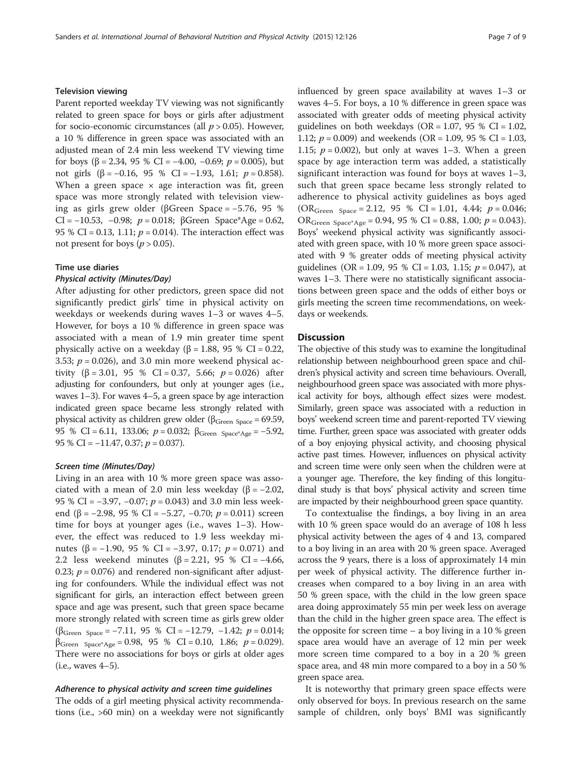#### Television viewing

Parent reported weekday TV viewing was not significantly related to green space for boys or girls after adjustment for socio-economic circumstances (all  $p > 0.05$ ). However, a 10 % difference in green space was associated with an adjusted mean of 2.4 min less weekend TV viewing time for boys (β = 2.34, 95 % CI = -4.00, -0.69;  $p = 0.005$ ), but not girls (β = −0.16, 95 % CI = −1.93, 1.61;  $p = 0.858$ ). When a green space  $\times$  age interaction was fit, green space was more strongly related with television viewing as girls grew older (βGreen Space = −5.76, 95 % CI =  $-10.53$ ,  $-0.98$ ;  $p = 0.018$ ;  $\beta$ Green Space\*Age = 0.62, 95 % CI = 0.13, 1.11;  $p = 0.014$ ). The interaction effect was not present for boys ( $p > 0.05$ ).

#### Time use diaries

#### Physical activity (Minutes/Day)

After adjusting for other predictors, green space did not significantly predict girls' time in physical activity on weekdays or weekends during waves 1–3 or waves 4–5. However, for boys a 10 % difference in green space was associated with a mean of 1.9 min greater time spent physically active on a weekday ( $β = 1.88$ , 95 % CI = 0.22, 3.53;  $p = 0.026$ ), and 3.0 min more weekend physical activity ( $\beta = 3.01$ , 95 % CI = 0.37, 5.66;  $p = 0.026$ ) after adjusting for confounders, but only at younger ages (i.e., waves 1–3). For waves 4–5, a green space by age interaction indicated green space became less strongly related with physical activity as children grew older ( $\beta_{Green\ Space} = 69.59$ , 95 % CI = 6.11, 133.06;  $p = 0.032$ ; β<sub>Green Space\*Age</sub> = -5.92, 95 % CI =  $-11.47$ , 0.37;  $p = 0.037$ ).

#### Screen time (Minutes/Day)

Living in an area with 10 % more green space was associated with a mean of 2.0 min less weekday ( $\beta$  = -2.02, 95 % CI = −3.97, −0.07; *p* = 0.043) and 3.0 min less weekend ( $\beta$  = −2.98, 95 % CI = −5.27, −0.70;  $p = 0.011$ ) screen time for boys at younger ages (i.e., waves 1–3). However, the effect was reduced to 1.9 less weekday minutes (β = −1.90, 95 % CI = −3.97, 0.17;  $p = 0.071$ ) and 2.2 less weekend minutes ( $β = 2.21$ , 95 % CI = -4.66, 0.23;  $p = 0.076$ ) and rendered non-significant after adjusting for confounders. While the individual effect was not significant for girls, an interaction effect between green space and age was present, such that green space became more strongly related with screen time as girls grew older (β<sub>Green Space</sub> = -7.11, 95 % CI = -12.79, -1.42;  $p = 0.014$ ;  $\beta_{\text{Green Space*Age}} = 0.98, 95 % CI = 0.10, 1.86; p = 0.029.$ There were no associations for boys or girls at older ages (i.e., waves 4–5).

#### Adherence to physical activity and screen time guidelines

The odds of a girl meeting physical activity recommendations (i.e., >60 min) on a weekday were not significantly influenced by green space availability at waves 1–3 or waves 4–5. For boys, a 10 % difference in green space was associated with greater odds of meeting physical activity guidelines on both weekdays ( $OR = 1.07$ , 95 %  $CI = 1.02$ , 1.12;  $p = 0.009$ ) and weekends (OR = 1.09, 95 % CI = 1.03, 1.15;  $p = 0.002$ ), but only at waves 1–3. When a green space by age interaction term was added, a statistically significant interaction was found for boys at waves 1–3, such that green space became less strongly related to adherence to physical activity guidelines as boys aged  $(OR_{Green}_{space} = 2.12, 95 % CI = 1.01, 4.44; p = 0.046;$ OR<sub>Green Space\*Age</sub> = 0.94, 95 % CI = 0.88, 1.00;  $p = 0.043$ ). Boys' weekend physical activity was significantly associated with green space, with 10 % more green space associated with 9 % greater odds of meeting physical activity guidelines (OR = 1.09, 95 % CI = 1.03, 1.15;  $p = 0.047$ ), at waves 1–3. There were no statistically significant associations between green space and the odds of either boys or girls meeting the screen time recommendations, on weekdays or weekends.

#### **Discussion**

The objective of this study was to examine the longitudinal relationship between neighbourhood green space and children's physical activity and screen time behaviours. Overall, neighbourhood green space was associated with more physical activity for boys, although effect sizes were modest. Similarly, green space was associated with a reduction in boys' weekend screen time and parent-reported TV viewing time. Further, green space was associated with greater odds of a boy enjoying physical activity, and choosing physical active past times. However, influences on physical activity and screen time were only seen when the children were at a younger age. Therefore, the key finding of this longitudinal study is that boys' physical activity and screen time are impacted by their neighbourhood green space quantity.

To contextualise the findings, a boy living in an area with 10 % green space would do an average of 108 h less physical activity between the ages of 4 and 13, compared to a boy living in an area with 20 % green space. Averaged across the 9 years, there is a loss of approximately 14 min per week of physical activity. The difference further increases when compared to a boy living in an area with 50 % green space, with the child in the low green space area doing approximately 55 min per week less on average than the child in the higher green space area. The effect is the opposite for screen time  $-$  a boy living in a 10 % green space area would have an average of 12 min per week more screen time compared to a boy in a 20 % green space area, and 48 min more compared to a boy in a 50 % green space area.

It is noteworthy that primary green space effects were only observed for boys. In previous research on the same sample of children, only boys' BMI was significantly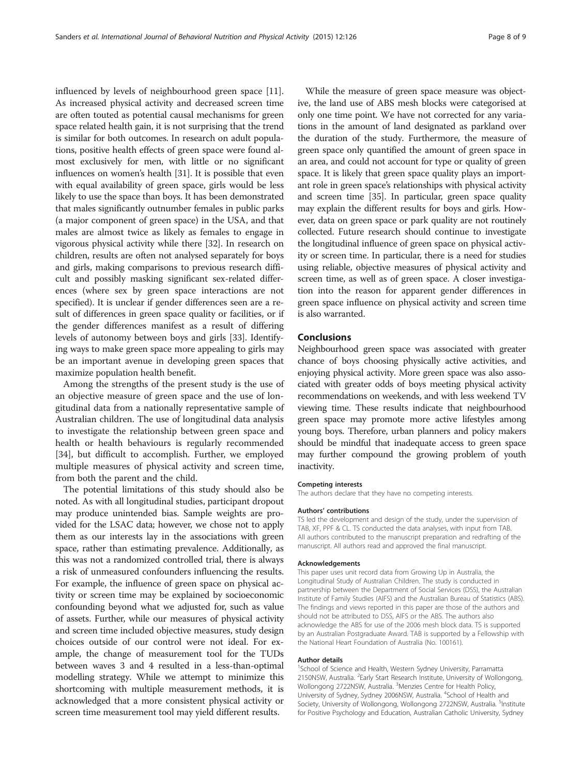influenced by levels of neighbourhood green space [\[11](#page-8-0)]. As increased physical activity and decreased screen time are often touted as potential causal mechanisms for green space related health gain, it is not surprising that the trend is similar for both outcomes. In research on adult populations, positive health effects of green space were found almost exclusively for men, with little or no significant influences on women's health [[31](#page-8-0)]. It is possible that even with equal availability of green space, girls would be less likely to use the space than boys. It has been demonstrated that males significantly outnumber females in public parks (a major component of green space) in the USA, and that males are almost twice as likely as females to engage in vigorous physical activity while there [\[32\]](#page-8-0). In research on children, results are often not analysed separately for boys and girls, making comparisons to previous research difficult and possibly masking significant sex-related differences (where sex by green space interactions are not specified). It is unclear if gender differences seen are a result of differences in green space quality or facilities, or if the gender differences manifest as a result of differing levels of autonomy between boys and girls [\[33\]](#page-8-0). Identifying ways to make green space more appealing to girls may be an important avenue in developing green spaces that maximize population health benefit.

Among the strengths of the present study is the use of an objective measure of green space and the use of longitudinal data from a nationally representative sample of Australian children. The use of longitudinal data analysis to investigate the relationship between green space and health or health behaviours is regularly recommended [[34\]](#page-8-0), but difficult to accomplish. Further, we employed multiple measures of physical activity and screen time, from both the parent and the child.

The potential limitations of this study should also be noted. As with all longitudinal studies, participant dropout may produce unintended bias. Sample weights are provided for the LSAC data; however, we chose not to apply them as our interests lay in the associations with green space, rather than estimating prevalence. Additionally, as this was not a randomized controlled trial, there is always a risk of unmeasured confounders influencing the results. For example, the influence of green space on physical activity or screen time may be explained by socioeconomic confounding beyond what we adjusted for, such as value of assets. Further, while our measures of physical activity and screen time included objective measures, study design choices outside of our control were not ideal. For example, the change of measurement tool for the TUDs between waves 3 and 4 resulted in a less-than-optimal modelling strategy. While we attempt to minimize this shortcoming with multiple measurement methods, it is acknowledged that a more consistent physical activity or screen time measurement tool may yield different results.

While the measure of green space measure was objective, the land use of ABS mesh blocks were categorised at only one time point. We have not corrected for any variations in the amount of land designated as parkland over the duration of the study. Furthermore, the measure of green space only quantified the amount of green space in an area, and could not account for type or quality of green space. It is likely that green space quality plays an important role in green space's relationships with physical activity and screen time [[35](#page-8-0)]. In particular, green space quality may explain the different results for boys and girls. However, data on green space or park quality are not routinely collected. Future research should continue to investigate the longitudinal influence of green space on physical activity or screen time. In particular, there is a need for studies using reliable, objective measures of physical activity and screen time, as well as of green space. A closer investigation into the reason for apparent gender differences in green space influence on physical activity and screen time is also warranted.

### **Conclusions**

Neighbourhood green space was associated with greater chance of boys choosing physically active activities, and enjoying physical activity. More green space was also associated with greater odds of boys meeting physical activity recommendations on weekends, and with less weekend TV viewing time. These results indicate that neighbourhood green space may promote more active lifestyles among young boys. Therefore, urban planners and policy makers should be mindful that inadequate access to green space may further compound the growing problem of youth inactivity.

#### Competing interests

The authors declare that they have no competing interests.

#### Authors' contributions

TS led the development and design of the study, under the supervision of TAB, XF, PPF & CL. TS conducted the data analyses, with input from TAB. All authors contributed to the manuscript preparation and redrafting of the manuscript. All authors read and approved the final manuscript.

#### Acknowledgements

This paper uses unit record data from Growing Up in Australia, the Longitudinal Study of Australian Children. The study is conducted in partnership between the Department of Social Services (DSS), the Australian Institute of Family Studies (AIFS) and the Australian Bureau of Statistics (ABS). The findings and views reported in this paper are those of the authors and should not be attributed to DSS, AIFS or the ABS. The authors also acknowledge the ABS for use of the 2006 mesh block data. TS is supported by an Australian Postgraduate Award. TAB is supported by a Fellowship with the National Heart Foundation of Australia (No. 100161).

#### Author details

<sup>1</sup>School of Science and Health, Western Sydney University, Parramatta 2150NSW, Australia. <sup>2</sup>Early Start Research Institute, University of Wollongong, Wollongong 2722NSW, Australia. <sup>3</sup>Menzies Centre for Health Policy University of Sydney, Sydney 2006NSW, Australia. <sup>4</sup>School of Health and Society, University of Wollongong, Wollongong 2722NSW, Australia. <sup>5</sup>Institute for Positive Psychology and Education, Australian Catholic University, Sydney